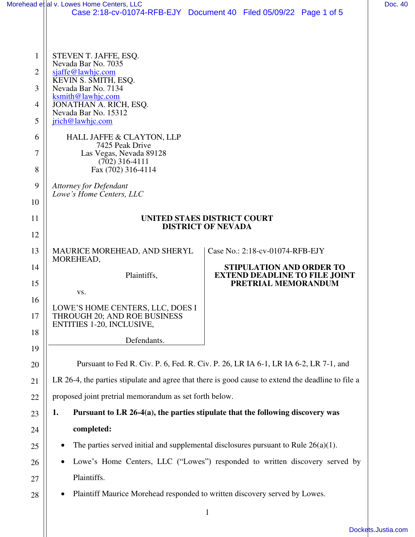|                | Morehead et al v. Lowes Home Centers, LLC                                                          |                                                                                | Doc. 40 |
|----------------|----------------------------------------------------------------------------------------------------|--------------------------------------------------------------------------------|---------|
|                |                                                                                                    | Case 2:18-cv-01074-RFB-EJY Document 40 Filed 05/09/22 Page 1 of 5              |         |
|                |                                                                                                    |                                                                                |         |
| 1              | STEVEN T. JAFFE, ESQ.<br>Nevada Bar No. 7035                                                       |                                                                                |         |
| $\overline{2}$ | sjaffe@lawhjc.com                                                                                  |                                                                                |         |
| 3              | KEVIN S. SMITH, ESQ.<br>Nevada Bar No. 7134                                                        |                                                                                |         |
| 4              | ksmith@lawhjc.com<br>JONATHAN A. RICH, ESQ.                                                        |                                                                                |         |
| 5              | Nevada Bar No. 15312<br>jrich@lawhjc.com                                                           |                                                                                |         |
| 6              | HALL JAFFE & CLAYTON, LLP                                                                          |                                                                                |         |
| 7              | 7425 Peak Drive<br>Las Vegas, Nevada 89128                                                         |                                                                                |         |
| 8              | $(702)$ 316-4111<br>Fax (702) 316-4114                                                             |                                                                                |         |
| 9              | <b>Attorney for Defendant</b>                                                                      |                                                                                |         |
| 10             | Lowe's Home Centers, LLC                                                                           |                                                                                |         |
| 11             | <b>UNITED STAES DISTRICT COURT</b>                                                                 |                                                                                |         |
| 12             | <b>DISTRICT OF NEVADA</b>                                                                          |                                                                                |         |
| 13             | MAURICE MOREHEAD, AND SHERYL                                                                       | Case No.: 2:18-cv-01074-RFB-EJY                                                |         |
| 14             | MOREHEAD,                                                                                          | STIPULATION AND ORDER TO                                                       |         |
| 15             | Plaintiffs,                                                                                        | <b>EXTEND DEADLINE TO FILE JOINT</b><br>PRETRIAL MEMORANDUM                    |         |
| 16             | VS.                                                                                                |                                                                                |         |
| 17             | LOWE'S HOME CENTERS, LLC, DOES I<br>THROUGH 20; AND ROE BUSINESS<br>ENTITIES 1-20, INCLUSIVE,      |                                                                                |         |
| 18             | Defendants.                                                                                        |                                                                                |         |
| 19             |                                                                                                    |                                                                                |         |
| 20             | Pursuant to Fed R. Civ. P. 6, Fed. R. Civ. P. 26, LR IA 6-1, LR IA 6-2, LR 7-1, and                |                                                                                |         |
| 21             | LR 26-4, the parties stipulate and agree that there is good cause to extend the deadline to file a |                                                                                |         |
| 22             | proposed joint pretrial memorandum as set forth below.                                             |                                                                                |         |
| 23             | 1.                                                                                                 | Pursuant to LR 26-4(a), the parties stipulate that the following discovery was |         |
| 24             | completed:                                                                                         |                                                                                |         |
| 25             | The parties served initial and supplemental disclosures pursuant to Rule $26(a)(1)$ .              |                                                                                |         |
| 26             | Lowe's Home Centers, LLC ("Lowes") responded to written discovery served by                        |                                                                                |         |
| 27             |                                                                                                    | Plaintiffs.                                                                    |         |
| 28             | Plaintiff Maurice Morehead responded to written discovery served by Lowes.                         |                                                                                |         |
|                |                                                                                                    | 1                                                                              |         |

[Dockets.Justia.com](https://dockets.justia.com/)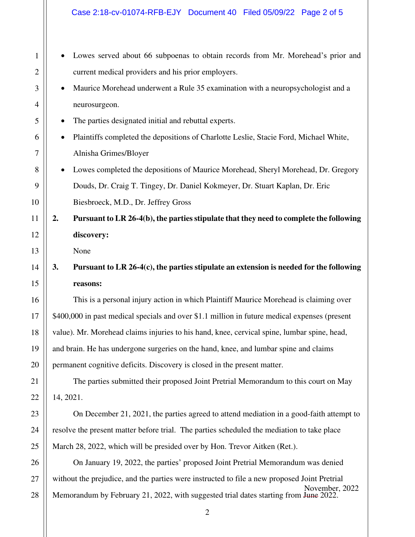- Lowes served about 66 subpoenas to obtain records from Mr. Morehead's prior and current medical providers and his prior employers.
- Maurice Morehead underwent a Rule 35 examination with a neuropsychologist and a neurosurgeon.
- The parties designated initial and rebuttal experts.
- Plaintiffs completed the depositions of Charlotte Leslie, Stacie Ford, Michael White, Alnisha Grimes/Bloyer
- Lowes completed the depositions of Maurice Morehead, Sheryl Morehead, Dr. Gregory Douds, Dr. Craig T. Tingey, Dr. Daniel Kokmeyer, Dr. Stuart Kaplan, Dr. Eric Biesbroeck, M.D., Dr. Jeffrey Gross

**2. Pursuant to LR 26-4(b), the parties stipulate that they need to complete the following discovery:** 

None

1

2

3

4

5

6

7

8

9

10

11

12

13

14

15

16

17

18

19

20

21

22

23

24

25

26

27

28

## **3. Pursuant to LR 26-4(c), the parties stipulate an extension is needed for the following reasons:**

 This is a personal injury action in which Plaintiff Maurice Morehead is claiming over \$400,000 in past medical specials and over \$1.1 million in future medical expenses (present value). Mr. Morehead claims injuries to his hand, knee, cervical spine, lumbar spine, head, and brain. He has undergone surgeries on the hand, knee, and lumbar spine and claims permanent cognitive deficits. Discovery is closed in the present matter.

 The parties submitted their proposed Joint Pretrial Memorandum to this court on May 14, 2021.

 On December 21, 2021, the parties agreed to attend mediation in a good-faith attempt to resolve the present matter before trial. The parties scheduled the mediation to take place March 28, 2022, which will be presided over by Hon. Trevor Aitken (Ret.).

 On January 19, 2022, the parties' proposed Joint Pretrial Memorandum was denied without the prejudice, and the parties were instructed to file a new proposed Joint Pretrial Memorandum by February 21, 2022, with suggested trial dates starting from June 2022. November, 2022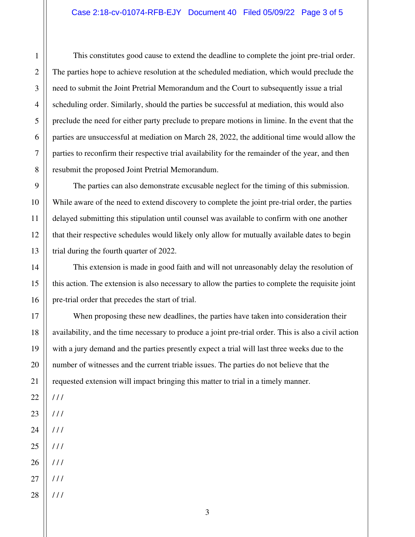This constitutes good cause to extend the deadline to complete the joint pre-trial order. The parties hope to achieve resolution at the scheduled mediation, which would preclude the need to submit the Joint Pretrial Memorandum and the Court to subsequently issue a trial scheduling order. Similarly, should the parties be successful at mediation, this would also preclude the need for either party preclude to prepare motions in limine. In the event that the parties are unsuccessful at mediation on March 28, 2022, the additional time would allow the parties to reconfirm their respective trial availability for the remainder of the year, and then resubmit the proposed Joint Pretrial Memorandum.

 The parties can also demonstrate excusable neglect for the timing of this submission. While aware of the need to extend discovery to complete the joint pre-trial order, the parties delayed submitting this stipulation until counsel was available to confirm with one another that their respective schedules would likely only allow for mutually available dates to begin trial during the fourth quarter of 2022.

 This extension is made in good faith and will not unreasonably delay the resolution of this action. The extension is also necessary to allow the parties to complete the requisite joint pre-trial order that precedes the start of trial.

 When proposing these new deadlines, the parties have taken into consideration their availability, and the time necessary to produce a joint pre-trial order. This is also a civil action with a jury demand and the parties presently expect a trial will last three weeks due to the number of witnesses and the current triable issues. The parties do not believe that the requested extension will impact bringing this matter to trial in a timely manner.

22 23  $111$  $111$ 

1

2

3

4

5

6

7

8

9

10

11

12

13

14

15

16

17

18

19

20

21

- 24 / / /
- 25  $111$
- 26  $111$
- 27 / / /
- 28 / / /

3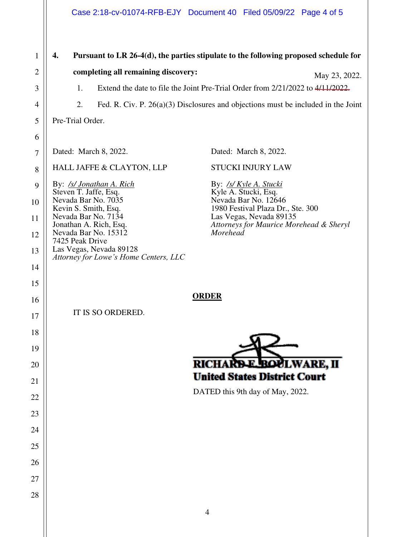## Case 2:18-cv-01074-RFB-EJY Document 40 Filed 05/09/22 Page 4 of 5

1 **4. Pursuant to LR 26-4(d), the parties stipulate to the following proposed schedule for**  2 **completing all remaining discovery:**  May 23, 2022. 1. Extend the date to file the Joint Pre-Trial Order from 2/21/2022 to 4/11/2022. 3 4 2. Fed. R. Civ. P. 26(a)(3) Disclosures and objections must be included in the Joint 5 Pre-Trial Order. 6 Dated: March 8, 2022. Dated: March 8, 2022. 7 HALL JAFFE & CLAYTON, LLP STUCKI INJURY LAW 8 By: */s/ Jonathan A. Rich* By: */s/ Kyle A. Stucki*  9 Steven T. Jaffe, Esq. Kyle A. Stucki, Esq. Nevada Bar No. 12646 Nevada Bar No. 7035 10 Kevin S. Smith, Esq. 1980 Festival Plaza Dr., Ste. 300 Nevada Bar No. 7134 Las Vegas, Nevada 89135 11 Jonathan A. Rich, Esq. *Attorneys for Maurice Morehead & Sheryl*  Nevada Bar No. 15312 *Morehead*  12 7425 Peak Drive Las Vegas, Nevada 89128 13 *Attorney for Lowe's Home Centers, LLC* 14 15 **ORDER**  16 IT IS SO ORDERED. 17 18 19  $\overline{\phantom{a}}$ **RICH A** 20 **United States District Court** 21  $\overline{D}$ DATED this 9th day of May, 2022. 22 23 24 25 26 27 28